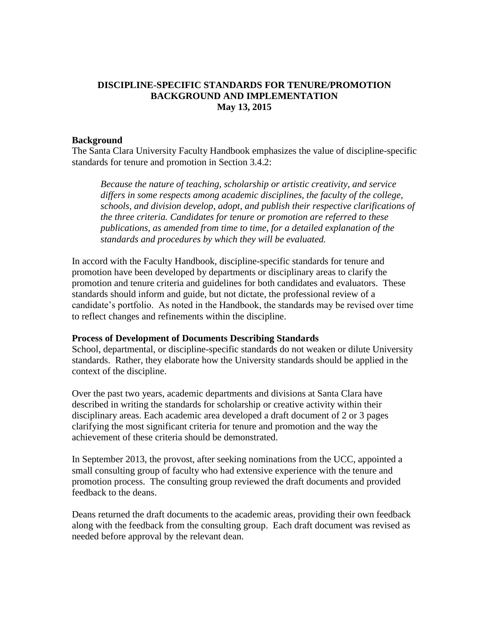# **DISCIPLINE-SPECIFIC STANDARDS FOR TENURE/PROMOTION BACKGROUND AND IMPLEMENTATION May 13, 2015**

#### **Background**

The Santa Clara University Faculty Handbook emphasizes the value of discipline-specific standards for tenure and promotion in Section 3.4.2:

*Because the nature of teaching, scholarship or artistic creativity, and service differs in some respects among academic disciplines, the faculty of the college, schools, and division develop, adopt, and publish their respective clarifications of the three criteria. Candidates for tenure or promotion are referred to these publications, as amended from time to time, for a detailed explanation of the standards and procedures by which they will be evaluated.* 

In accord with the Faculty Handbook, discipline-specific standards for tenure and promotion have been developed by departments or disciplinary areas to clarify the promotion and tenure criteria and guidelines for both candidates and evaluators. These standards should inform and guide, but not dictate, the professional review of a candidate's portfolio. As noted in the Handbook, the standards may be revised over time to reflect changes and refinements within the discipline.

#### **Process of Development of Documents Describing Standards**

School, departmental, or discipline-specific standards do not weaken or dilute University standards. Rather, they elaborate how the University standards should be applied in the context of the discipline.

Over the past two years, academic departments and divisions at Santa Clara have described in writing the standards for scholarship or creative activity within their disciplinary areas. Each academic area developed a draft document of 2 or 3 pages clarifying the most significant criteria for tenure and promotion and the way the achievement of these criteria should be demonstrated.

In September 2013, the provost, after seeking nominations from the UCC, appointed a small consulting group of faculty who had extensive experience with the tenure and promotion process. The consulting group reviewed the draft documents and provided feedback to the deans.

Deans returned the draft documents to the academic areas, providing their own feedback along with the feedback from the consulting group. Each draft document was revised as needed before approval by the relevant dean.